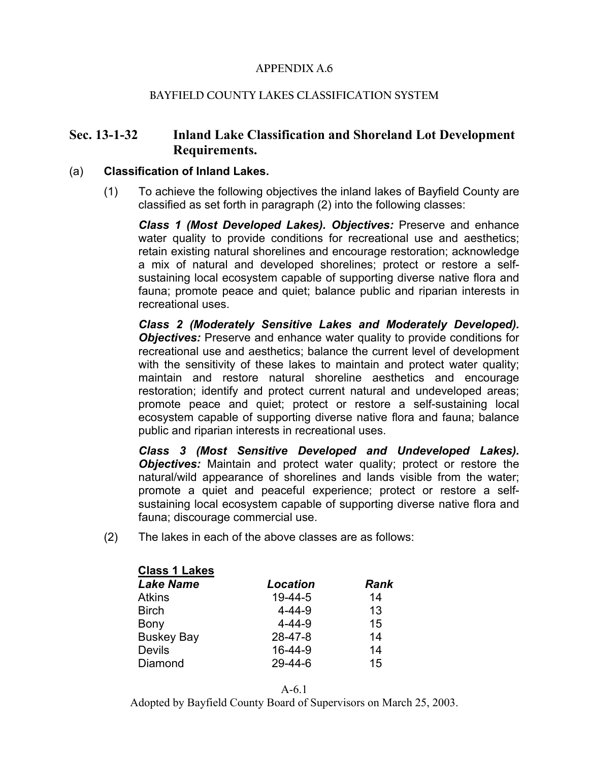### **APPENDIX A.6**

#### **BAYFIELD COUNTY LAKES CLASSIFICATION SYSTEM**

## **Sec. 13-1-32 Inland Lake Classification and Shoreland Lot Development Requirements.**

#### (a) **Classification of Inland Lakes.**

(1) To achieve the following objectives the inland lakes of Bayfield County are classified as set forth in paragraph (2) into the following classes:

*Class 1 (Most Developed Lakes). Objectives:* Preserve and enhance water quality to provide conditions for recreational use and aesthetics; retain existing natural shorelines and encourage restoration; acknowledge a mix of natural and developed shorelines; protect or restore a selfsustaining local ecosystem capable of supporting diverse native flora and fauna; promote peace and quiet; balance public and riparian interests in recreational uses.

*Class 2 (Moderately Sensitive Lakes and Moderately Developed). Objectives:* Preserve and enhance water quality to provide conditions for recreational use and aesthetics; balance the current level of development with the sensitivity of these lakes to maintain and protect water quality; maintain and restore natural shoreline aesthetics and encourage restoration; identify and protect current natural and undeveloped areas; promote peace and quiet; protect or restore a self-sustaining local ecosystem capable of supporting diverse native flora and fauna; balance public and riparian interests in recreational uses.

*Class 3 (Most Sensitive Developed and Undeveloped Lakes). Objectives:* Maintain and protect water quality; protect or restore the natural/wild appearance of shorelines and lands visible from the water; promote a quiet and peaceful experience; protect or restore a selfsustaining local ecosystem capable of supporting diverse native flora and fauna; discourage commercial use.

(2) The lakes in each of the above classes are as follows:

| <b>Class 1 Lakes</b> |                 |             |
|----------------------|-----------------|-------------|
| <b>Lake Name</b>     | <b>Location</b> | <b>Rank</b> |
| <b>Atkins</b>        | $19-44-5$       | 14          |
| <b>Birch</b>         | $4 - 44 - 9$    | 13          |
| Bony                 | $4 - 44 - 9$    | 15          |
| <b>Buskey Bay</b>    | $28 - 47 - 8$   | 14          |
| <b>Devils</b>        | $16 - 44 - 9$   | 14          |
| Diamond              | $29 - 44 - 6$   | 15          |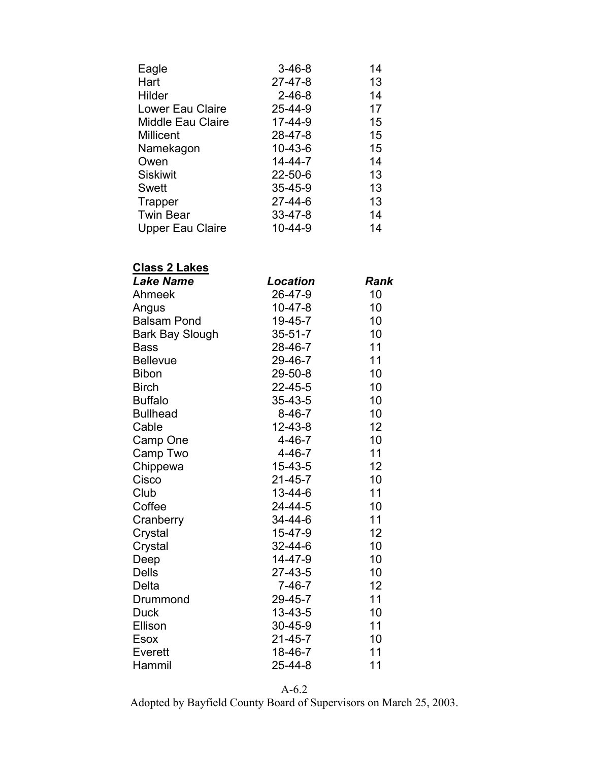| Eagle                    | $3 - 46 - 8$  | 14 |
|--------------------------|---------------|----|
| Hart                     | $27 - 47 - 8$ | 13 |
| Hilder                   | $2 - 46 - 8$  | 14 |
| Lower Eau Claire         | 25-44-9       | 17 |
| <b>Middle Eau Claire</b> | 17-44-9       | 15 |
| <b>Millicent</b>         | 28-47-8       | 15 |
| Namekagon                | $10 - 43 - 6$ | 15 |
| Owen                     | $14 - 44 - 7$ | 14 |
| <b>Siskiwit</b>          | $22 - 50 - 6$ | 13 |
| Swett                    | $35 - 45 - 9$ | 13 |
| Trapper                  | $27 - 44 - 6$ | 13 |
| <b>Twin Bear</b>         | $33 - 47 - 8$ | 14 |
| <b>Upper Eau Claire</b>  | $10 - 44 - 9$ | 14 |

# **Class 2 Lakes**

| Location      | Rank |
|---------------|------|
| 26-47-9       | 10   |
| $10 - 47 - 8$ | 10   |
| 19-45-7       | 10   |
| $35 - 51 - 7$ | 10   |
| 28-46-7       | 11   |
| 29-46-7       | 11   |
| 29-50-8       | 10   |
| $22 - 45 - 5$ | 10   |
| 35-43-5       | 10   |
| $8 - 46 - 7$  | 10   |
| $12 - 43 - 8$ | 12   |
| $4 - 46 - 7$  | 10   |
| $4 - 46 - 7$  | 11   |
| $15 - 43 - 5$ | 12   |
| $21 - 45 - 7$ | 10   |
| 13-44-6       | 11   |
| 24-44-5       | 10   |
| 34-44-6       | 11   |
| 15-47-9       | 12   |
| 32-44-6       | 10   |
| 14-47-9       | 10   |
| $27 - 43 - 5$ | 10   |
| $7 - 46 - 7$  | 12   |
| 29-45-7       | 11   |
| 13-43-5       | 10   |
| 30-45-9       | 11   |
| $21 - 45 - 7$ | 10   |
| 18-46-7       | 11   |
| 25-44-8       | 11   |
|               |      |

A-6.2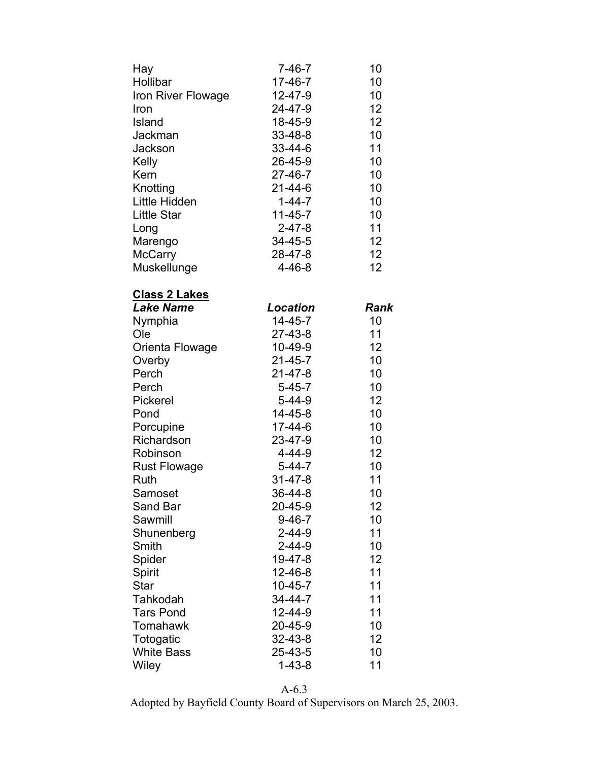| Hay                  | $7 - 46 - 7$    | 10   |
|----------------------|-----------------|------|
| Hollibar             | $17 - 46 - 7$   | 10   |
| Iron River Flowage   | $12 - 47 - 9$   | 10   |
| Iron                 | 24-47-9         | 12   |
| Island               | 18-45-9         | 12   |
| Jackman              | 33-48-8         | 10   |
| Jackson              | 33-44-6         | 11   |
| Kelly                | 26-45-9         | 10   |
| Kern                 | 27-46-7         | 10   |
| Knotting             | $21 - 44 - 6$   | 10   |
| Little Hidden        | $1 - 44 - 7$    | 10   |
| <b>Little Star</b>   | $11 - 45 - 7$   | 10   |
| Long                 | $2 - 47 - 8$    | 11   |
| Marengo              | 34-45-5         | 12   |
| <b>McCarry</b>       | 28-47-8         | 12   |
| Muskellunge          | $4 - 46 - 8$    | 12   |
|                      |                 |      |
| <u>Class 2 Lakes</u> |                 |      |
| <b>Lake Name</b>     | <b>Location</b> | Rank |
| Nymphia              | $14 - 45 - 7$   | 10   |
| Ole                  | $27 - 43 - 8$   | 11   |
| Orienta Flowage      | $10-49-9$       | 12   |
| Overby               | $21 - 45 - 7$   | 10   |
| Perch                | $21 - 47 - 8$   | 10   |
| Perch                | $5 - 45 - 7$    | 10   |
| Pickerel             | $5 - 44 - 9$    | 12   |
| Pond                 | $14 - 45 - 8$   | 10   |
| Porcupine            | 17-44-6         | 10   |
| Richardson           | 23-47-9         | 10   |
| Robinson             | 4-44-9          | 12   |
| <b>Rust Flowage</b>  | $5 - 44 - 7$    | 10   |
| Ruth                 | $31 - 47 - 8$   | 11   |
| Samoset              | 36-44-8         | 10   |
| Sand Bar             | 20-45-9         | 12   |
| Sawmill              | $9 - 46 - 7$    | 10   |
| Shunenberg           | $2 - 44 - 9$    | 11   |
| Smith                | $2 - 44 - 9$    | 10   |
| Spider               | 19-47-8         | 12   |
| Spirit               | $12 - 46 - 8$   | 11   |
| <b>Star</b>          | $10 - 45 - 7$   | 11   |
| Tahkodah             | 34-44-7         | 11   |
| <b>Tars Pond</b>     | $12 - 44 - 9$   | 11   |
| Tomahawk             | 20-45-9         | 10   |
| Totogatic            | 32-43-8         | 12   |
| <b>White Bass</b>    | 25-43-5         | 10   |
| Wiley                | $1 - 43 - 8$    | 11   |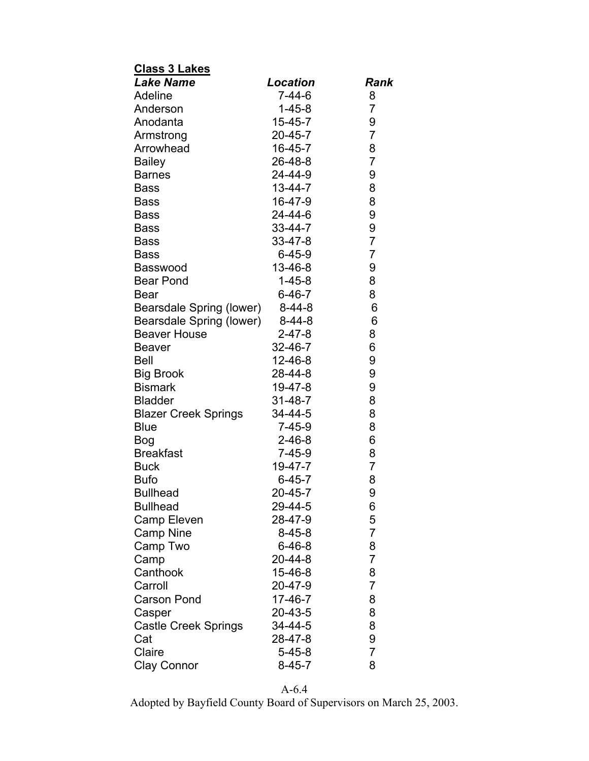| <b>Class 3 Lakes</b>               |               |                |
|------------------------------------|---------------|----------------|
| <b>Lake Name</b>                   | Location      | Rank           |
| Adeline                            | $7 - 44 - 6$  | 8              |
| Anderson                           | $1 - 45 - 8$  | 7              |
| Anodanta                           | $15 - 45 - 7$ | 9              |
| Armstrong                          | $20 - 45 - 7$ | $\overline{7}$ |
| Arrowhead                          | 16-45-7       | 8              |
| <b>Bailey</b>                      | 26-48-8       | $\overline{7}$ |
| <b>Barnes</b>                      | 24-44-9       | 9              |
| <b>Bass</b>                        | $13 - 44 - 7$ | 8              |
| <b>Bass</b>                        | 16-47-9       | 8              |
| Bass                               | 24-44-6       | 9              |
| <b>Bass</b>                        | 33-44-7       | 9              |
| <b>Bass</b>                        | 33-47-8       | $\overline{7}$ |
| <b>Bass</b>                        | $6 - 45 - 9$  | $\overline{7}$ |
| <b>Basswood</b>                    | 13-46-8       | 9              |
| <b>Bear Pond</b>                   | $1 - 45 - 8$  | 8              |
| <b>Bear</b>                        | $6 - 46 - 7$  | 8              |
| Bearsdale Spring (lower)           | $8 - 44 - 8$  | 6              |
| Bearsdale Spring (lower)           | $8 - 44 - 8$  | 6              |
| <b>Beaver House</b>                | $2 - 47 - 8$  | 8              |
| <b>Beaver</b>                      | 32-46-7       | 6              |
| <b>Bell</b>                        | $12 - 46 - 8$ | 9              |
| <b>Big Brook</b>                   | 28-44-8       | 9              |
| <b>Bismark</b>                     | 19-47-8       | 9              |
| <b>Bladder</b>                     | $31 - 48 - 7$ | 8              |
| <b>Blazer Creek Springs</b>        | 34-44-5       | 8              |
| <b>Blue</b>                        | $7 - 45 - 9$  | 8              |
| <b>Bog</b>                         | $2 - 46 - 8$  | 6              |
| <b>Breakfast</b>                   | $7 - 45 - 9$  | 8              |
| <b>Buck</b>                        | 19-47-7       | $\overline{7}$ |
| <b>Bufo</b>                        | $6 - 45 - 7$  | 8              |
|                                    | 20-45-7       |                |
| <b>Bullhead</b><br><b>Bullhead</b> | 29-44-5       | 9<br>6         |
| Camp Eleven                        | 28-47-9       | 5              |
|                                    | $8 - 45 - 8$  | $\overline{7}$ |
| <b>Camp Nine</b>                   | $6 - 46 - 8$  | 8              |
| Camp Two                           | $20 - 44 - 8$ | $\overline{7}$ |
| Camp                               |               |                |
| Canthook                           | 15-46-8       | 8              |
| Carroll                            | 20-47-9       | $\overline{7}$ |
| <b>Carson Pond</b>                 | $17 - 46 - 7$ | 8              |
| Casper                             | 20-43-5       | 8              |
| <b>Castle Creek Springs</b>        | 34-44-5       | 8              |
| Cat                                | 28-47-8       | 9              |
| Claire                             | $5 - 45 - 8$  | $\overline{7}$ |
| <b>Clay Connor</b>                 | $8 - 45 - 7$  | 8              |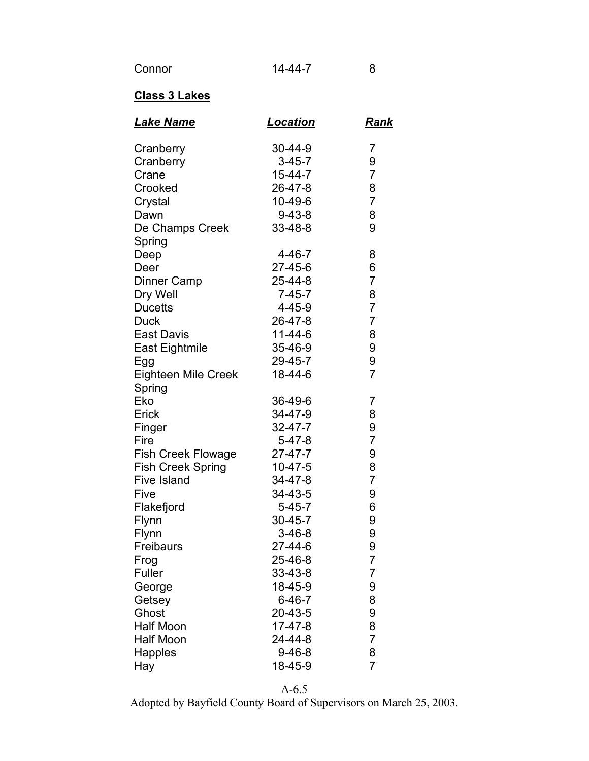## **Class 3 Lakes**

| <u>Lake Name</u>           | <u>Location</u> | <u>Rank</u>    |
|----------------------------|-----------------|----------------|
| Cranberry                  | 30-44-9         | 7              |
| Cranberry                  | $3 - 45 - 7$    | 9              |
| Crane                      | $15 - 44 - 7$   | 7              |
| Crooked                    | 26-47-8         | 8              |
| Crystal                    | 10-49-6         | $\overline{7}$ |
| Dawn                       | $9 - 43 - 8$    | 8              |
| De Champs Creek            | $33 - 48 - 8$   | 9              |
| Spring                     |                 |                |
| Deep                       | $4 - 46 - 7$    | 8              |
| Deer                       | 27-45-6         | 6              |
| Dinner Camp                | 25-44-8         | 7              |
| Dry Well                   | $7 - 45 - 7$    | 8              |
| <b>Ducetts</b>             | $4 - 45 - 9$    | $\overline{7}$ |
| <b>Duck</b>                | 26-47-8         | $\overline{7}$ |
| <b>East Davis</b>          | $11 - 44 - 6$   | 8              |
| East Eightmile             | 35-46-9         | 9              |
| Egg                        | 29-45-7         | 9              |
| <b>Eighteen Mile Creek</b> | 18-44-6         | $\overline{7}$ |
| Spring                     |                 |                |
| Eko                        | 36-49-6         | 7              |
| Erick                      | 34-47-9         | 8              |
| Finger                     | $32 - 47 - 7$   | 9              |
| Fire                       | $5 - 47 - 8$    | 7              |
| <b>Fish Creek Flowage</b>  | 27-47-7         | 9              |
| <b>Fish Creek Spring</b>   | $10 - 47 - 5$   | 8              |
| <b>Five Island</b>         | 34-47-8         | $\overline{7}$ |
| Five                       | 34-43-5         | 9              |
| Flakefjord                 | $5 - 45 - 7$    | 6              |
| Flynn                      | $30 - 45 - 7$   | 9              |
| Flynn                      | $3 - 46 - 8$    | 9              |
| Freibaurs                  | 27-44-6         | 9              |
| Frog                       | 25-46-8         | 7              |
| Fuller                     | $33 - 43 - 8$   | 7              |
| George                     | 18-45-9         | 9              |
| Getsey                     | $6 - 46 - 7$    | 8              |
| Ghost                      | $20 - 43 - 5$   | 9              |
| <b>Half Moon</b>           | $17 - 47 - 8$   | 8              |
| <b>Half Moon</b>           | 24-44-8         | $\overline{7}$ |
| <b>Happles</b>             | $9 - 46 - 8$    | 8              |
| Hay                        | 18-45-9         | $\overline{7}$ |

A-6.5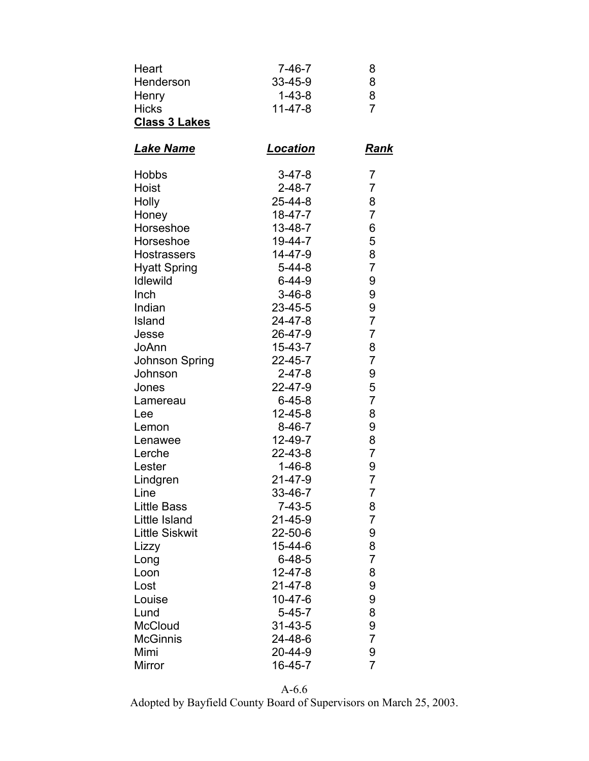| Heart<br>Henderson<br><b>Henry</b><br><b>Hicks</b><br><b>Class 3 Lakes</b> | $7 - 46 - 7$<br>33-45-9<br>$1 - 43 - 8$<br>$11 - 47 - 8$ | 8<br>8<br>8<br>$\overline{7}$ |
|----------------------------------------------------------------------------|----------------------------------------------------------|-------------------------------|
| Lake Name                                                                  | Location                                                 | Rank                          |
| <b>Hobbs</b>                                                               | $3 - 47 - 8$                                             | 7                             |
| Hoist                                                                      | $2 - 48 - 7$                                             | 7                             |
| <b>Holly</b>                                                               | $25 - 44 - 8$                                            | 8                             |
| Honey                                                                      | 18-47-7                                                  | 7                             |
| Horseshoe                                                                  | $13 - 48 - 7$                                            | 6                             |
| Horseshoe                                                                  | 19-44-7                                                  | 5                             |
| <b>Hostrassers</b>                                                         | $14 - 47 - 9$                                            | 8                             |
| <b>Hyatt Spring</b>                                                        | $5 - 44 - 8$                                             | $\overline{7}$                |
| <b>Idlewild</b>                                                            | $6 - 44 - 9$                                             | 9                             |
| Inch                                                                       | $3-46-8$                                                 | 9                             |
| Indian                                                                     | $23 - 45 - 5$                                            | 9                             |
| Island                                                                     | 24-47-8                                                  | 7                             |
| Jesse                                                                      | 26-47-9                                                  | $\overline{7}$                |
| JoAnn                                                                      | $15 - 43 - 7$                                            | 8                             |
| Johnson Spring                                                             | $22 - 45 - 7$                                            | $\overline{7}$                |
| Johnson                                                                    | $2 - 47 - 8$                                             | 9                             |
| Jones                                                                      | 22-47-9                                                  | 5                             |
| Lamereau                                                                   | $6 - 45 - 8$                                             | $\overline{7}$                |
| Lee                                                                        | $12 - 45 - 8$                                            | 8                             |
| Lemon                                                                      | $8 - 46 - 7$                                             | 9                             |
| Lenawee                                                                    | $12 - 49 - 7$                                            | 8                             |
| Lerche                                                                     | 22-43-8                                                  | 7                             |
| Lester                                                                     | 1-46-8                                                   | 9                             |
| Lindgren                                                                   | 21-47-9                                                  | $\overline{7}$                |
| Line                                                                       | 33-46-7                                                  | 7                             |
| <b>Little Bass</b>                                                         | $7 - 43 - 5$                                             | 8                             |
| Little Island                                                              | 21-45-9                                                  | 7                             |
| <b>Little Siskwit</b>                                                      | 22-50-6                                                  | 9                             |
| Lizzy                                                                      | 15-44-6                                                  | 8                             |
| Long                                                                       | $6 - 48 - 5$                                             | $\overline{7}$                |
| Loon                                                                       | $12 - 47 - 8$                                            | 8                             |
| Lost                                                                       | $21 - 47 - 8$                                            | 9                             |
| Louise                                                                     | $10 - 47 - 6$                                            | 9                             |
| Lund                                                                       | $5 - 45 - 7$                                             | 8                             |
| <b>McCloud</b>                                                             | $31 - 43 - 5$                                            | 9                             |
| <b>McGinnis</b>                                                            | 24-48-6                                                  | 7                             |
| Mimi                                                                       | 20-44-9                                                  | 9                             |
| Mirror                                                                     | 16-45-7                                                  | $\overline{7}$                |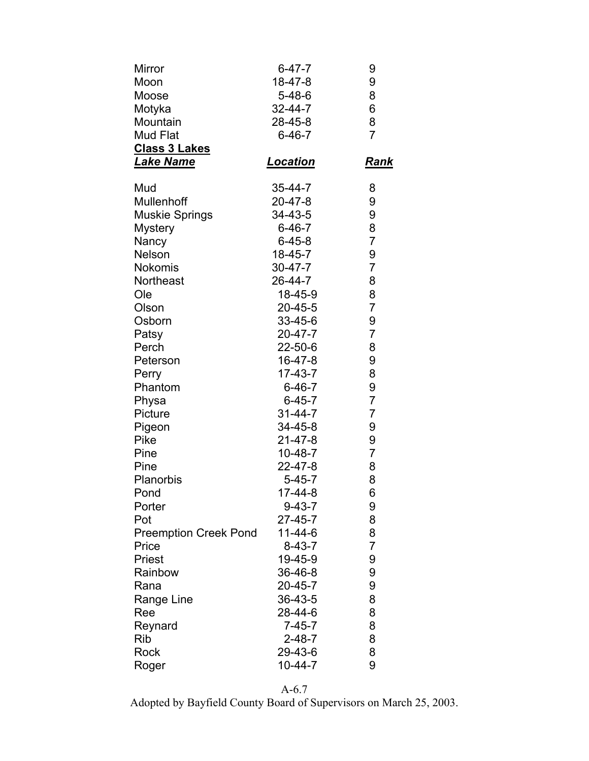| Mirror                       | $6 - 47 - 7$  | 9              |
|------------------------------|---------------|----------------|
| Moon                         | 18-47-8       | 9              |
| Moose                        | $5 - 48 - 6$  | 8              |
| Motyka                       | $32 - 44 - 7$ | 6              |
| Mountain                     | 28-45-8       | 8              |
| Mud Flat                     | $6 - 46 - 7$  | 7              |
| <b>Class 3 Lakes</b>         |               |                |
| <b>Lake Name</b>             | Location      | Rank           |
| Mud                          | $35 - 44 - 7$ | 8              |
| Mullenhoff                   | 20-47-8       | 9              |
| <b>Muskie Springs</b>        | 34-43-5       | 9              |
| <b>Mystery</b>               | $6 - 46 - 7$  | 8              |
| Nancy                        | $6 - 45 - 8$  | $\overline{7}$ |
| Nelson                       | 18-45-7       | 9              |
| <b>Nokomis</b>               | 30-47-7       | $\overline{7}$ |
| Northeast                    | 26-44-7       | 8              |
| Ole                          | 18-45-9       | 8              |
| Olson                        | $20 - 45 - 5$ | 7              |
| Osborn                       | 33-45-6       | 9              |
| Patsy                        | 20-47-7       | $\overline{7}$ |
| Perch                        | 22-50-6       | 8              |
| Peterson                     | 16-47-8       | 9              |
| Perry                        | 17-43-7       | 8              |
| Phantom                      | $6 - 46 - 7$  | 9              |
| Physa                        | $6 - 45 - 7$  | $\overline{7}$ |
| Picture                      | $31 - 44 - 7$ | $\overline{7}$ |
| Pigeon                       | 34-45-8       | 9              |
| Pike                         | $21 - 47 - 8$ | 9              |
| Pine                         | $10 - 48 - 7$ | $\overline{7}$ |
| Pine                         | 22-47-8       | 8              |
| Planorbis                    | $5 - 45 - 7$  | 8              |
| Pond                         | $17 - 44 - 8$ | 6              |
| Porter                       | $9 - 43 - 7$  | 9              |
| Pot                          | $27 - 45 - 7$ | 8              |
| <b>Preemption Creek Pond</b> | $11 - 44 - 6$ | 8              |
| Price                        | $8 - 43 - 7$  | 7              |
| Priest                       | 19-45-9       | 9              |
| Rainbow                      | 36-46-8       | 9              |
| Rana                         | $20 - 45 - 7$ | 9              |
| Range Line                   | 36-43-5       | 8              |
| Ree                          | 28-44-6       | 8              |
| Reynard                      | $7 - 45 - 7$  | 8              |
| Rib                          | $2 - 48 - 7$  | 8              |
| Rock                         | 29-43-6       | 8              |
| Roger                        | $10 - 44 - 7$ | 9              |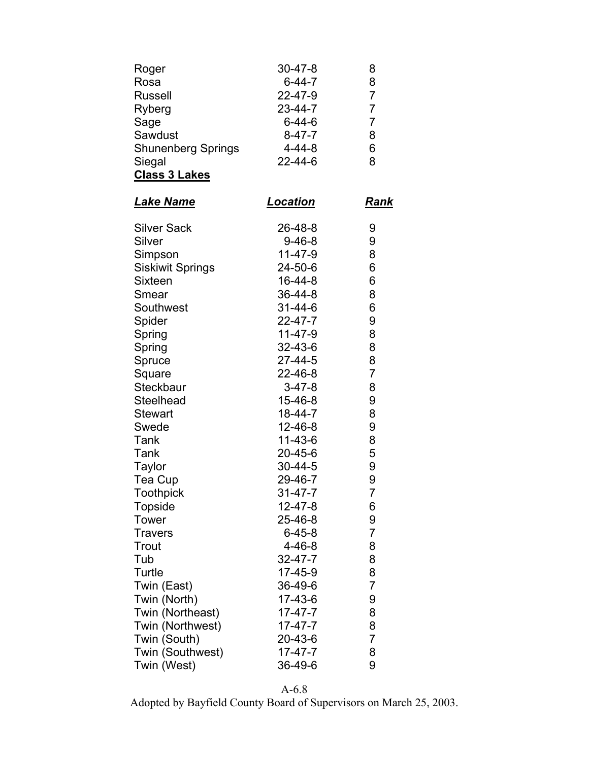| Roger                     | $30 - 47 - 8$   | 8              |
|---------------------------|-----------------|----------------|
| Rosa                      | $6 - 44 - 7$    | 8              |
| <b>Russell</b>            | 22-47-9         | $\overline{7}$ |
| Ryberg                    | 23-44-7         | 7              |
| Sage                      | $6 - 44 - 6$    | $\overline{7}$ |
| Sawdust                   | $8 - 47 - 7$    | 8              |
| <b>Shunenberg Springs</b> | $4 - 44 - 8$    | 6              |
| Siegal                    | $22 - 44 - 6$   | 8              |
| <b>Class 3 Lakes</b>      |                 |                |
| <u>Lake Name</u>          | <b>Location</b> | Rank           |
| <b>Silver Sack</b>        | 26-48-8         | 9              |
| Silver                    | $9 - 46 - 8$    | 9              |
| Simpson                   | $11 - 47 - 9$   | 8              |
| <b>Siskiwit Springs</b>   | 24-50-6         | 6              |
| <b>Sixteen</b>            | 16-44-8         | 6              |
| Smear                     | 36-44-8         | 8              |
| Southwest                 | $31 - 44 - 6$   | 6              |
| Spider                    | $22 - 47 - 7$   | 9              |
| Spring                    | 11-47-9         | 8              |
| Spring                    | 32-43-6         | 8              |
| Spruce                    | $27 - 44 - 5$   | 8              |
| Square                    | 22-46-8         | $\overline{7}$ |
| Steckbaur                 | $3 - 47 - 8$    | 8              |
| Steelhead                 | 15-46-8         | 9              |
| <b>Stewart</b>            | 18-44-7         | 8              |
| Swede                     | 12-46-8         | 9              |
| Tank                      | 11-43-6         | 8              |
| Tank                      | 20-45-6         | 5              |
| <b>Taylor</b>             | 30-44-5         | 9              |
| Tea Cup                   | 29-46-7         | 9              |
| <b>Toothpick</b>          | $31 - 47 - 7$   | $\overline{7}$ |
| <b>Topside</b>            | $12 - 47 - 8$   | 6              |
| <b>Tower</b>              | 25-46-8         | 9              |
| <b>Travers</b>            | $6 - 45 - 8$    | 7              |
| Trout                     | $4 - 46 - 8$    | 8              |
| Tub                       | $32 - 47 - 7$   | 8              |
| Turtle                    | $17 - 45 - 9$   | 8              |
| Twin (East)               | 36-49-6         | $\overline{7}$ |
| Twin (North)              | 17-43-6         | 9              |
| Twin (Northeast)          | $17 - 47 - 7$   | 8              |
| Twin (Northwest)          | $17 - 47 - 7$   | 8              |
| Twin (South)              | 20-43-6         | 7              |
| Twin (Southwest)          | $17 - 47 - 7$   | 8              |
| Twin (West)               | 36-49-6         | 9              |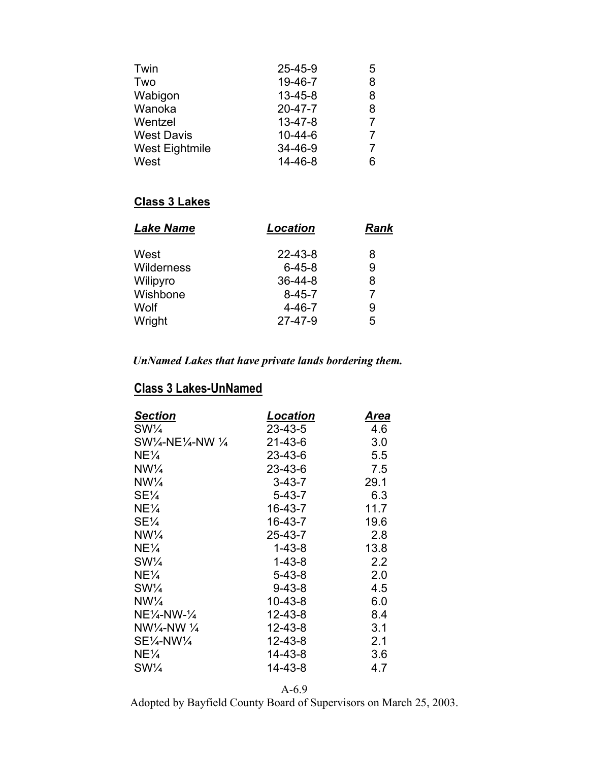| Twin              | $25 - 45 - 9$ | 5 |
|-------------------|---------------|---|
| Two               | 19-46-7       | 8 |
| Wabigon           | $13 - 45 - 8$ | 8 |
| Wanoka            | $20 - 47 - 7$ | 8 |
| Wentzel           | $13 - 47 - 8$ | 7 |
| <b>West Davis</b> | $10 - 44 - 6$ | 7 |
| West Eightmile    | $34 - 46 - 9$ | 7 |
| West              | $14 - 46 - 8$ | 6 |

### **Class 3 Lakes**

| <b>Location</b> | Rank |
|-----------------|------|
| $22 - 43 - 8$   | 8    |
| $6 - 45 - 8$    | 9    |
| $36 - 44 - 8$   | 8    |
| $8 - 45 - 7$    | 7    |
| $4 - 46 - 7$    | 9    |
| $27 - 47 - 9$   | 5    |
|                 |      |

## *UnNamed Lakes that have private lands bordering them.*

# **Class 3 Lakes-UnNamed**

| Location      | Area |
|---------------|------|
| $23 - 43 - 5$ | 4.6  |
| 21-43-6       | 3.0  |
| 23-43-6       | 5.5  |
| 23-43-6       | 7.5  |
| $3 - 43 - 7$  | 29.1 |
| $5 - 43 - 7$  | 6.3  |
| 16-43-7       | 11.7 |
| 16-43-7       | 19.6 |
| $25 - 43 - 7$ | 2.8  |
| $1 - 43 - 8$  | 13.8 |
| $1 - 43 - 8$  | 2.2  |
| $5 - 43 - 8$  | 2.0  |
| $9 - 43 - 8$  | 4.5  |
| 10-43-8       | 6.0  |
| $12 - 43 - 8$ | 8.4  |
| $12 - 43 - 8$ | 3.1  |
| $12 - 43 - 8$ | 2.1  |
| 14-43-8       | 3.6  |
| 14-43-8       | 4.7  |
|               |      |

A-6.9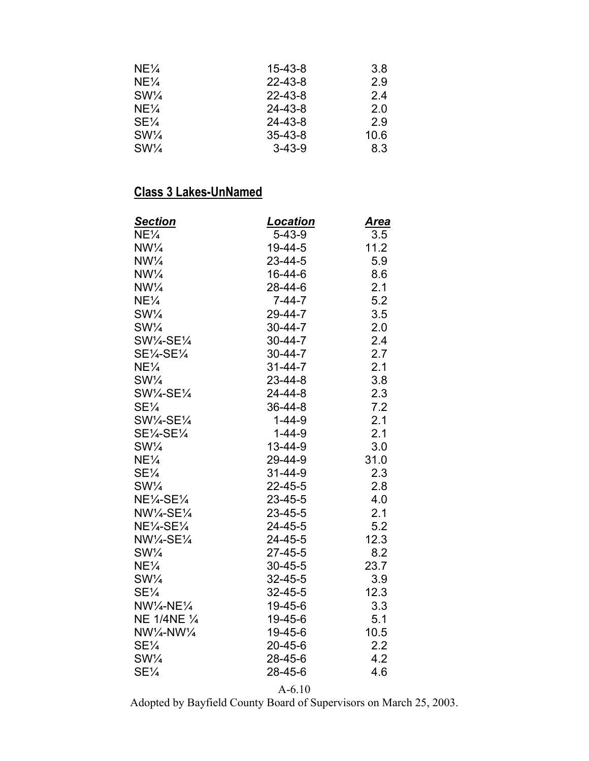| $NE\frac{1}{4}$ | $15 - 43 - 8$ | 3.8  |
|-----------------|---------------|------|
| $NE\frac{1}{4}$ | $22 - 43 - 8$ | 2.9  |
| $SW\frac{1}{4}$ | $22 - 43 - 8$ | 24   |
| $NE\frac{1}{4}$ | 24-43-8       | 2.0  |
| $SE\frac{1}{4}$ | 24-43-8       | 2.9  |
| $SW\frac{1}{4}$ | $35 - 43 - 8$ | 10.6 |
| $SW\frac{1}{4}$ | $3 - 43 - 9$  | 8.3  |

| <b>Section</b>                  | <b>Location</b> | <u>Area</u> |
|---------------------------------|-----------------|-------------|
| $NE\frac{1}{4}$                 | $5 - 43 - 9$    | 3.5         |
| $NW\frac{1}{4}$                 | 19-44-5         | 11.2        |
| $NW\frac{1}{4}$                 | $23 - 44 - 5$   | 5.9         |
| $NW\frac{1}{4}$                 | $16 - 44 - 6$   | 8.6         |
| $NW\frac{1}{4}$                 | 28-44-6         | 2.1         |
| NE¼                             | $7 - 44 - 7$    | 5.2         |
| $SW\frac{1}{4}$                 | 29-44-7         | 3.5         |
| $SW\frac{1}{4}$                 | $30 - 44 - 7$   | 2.0         |
| SW1⁄4-SE1⁄4                     | $30 - 44 - 7$   | 2.4         |
| SE1⁄4-SE1⁄4                     | $30 - 44 - 7$   | 2.7         |
| $NE\frac{1}{4}$                 | $31 - 44 - 7$   | 2.1         |
| $SW\frac{1}{4}$                 | $23 - 44 - 8$   | 3.8         |
| SW1/4-SE1/4                     | $24 - 44 - 8$   | 2.3         |
| SE¼                             | 36-44-8         | 7.2         |
| SW1/4-SE1/4                     | $1 - 44 - 9$    | 2.1         |
| $SE\frac{1}{4}SE\frac{1}{4}$    | $1 - 44 - 9$    | 2.1         |
| $SW\frac{1}{4}$                 | $13 - 44 - 9$   | 3.0         |
| $NE\frac{1}{4}$                 | 29-44-9         | 31.0        |
| SE¼                             | $31 - 44 - 9$   | 2.3         |
| $SW\frac{1}{4}$                 | $22 - 45 - 5$   | 2.8         |
| $NE\frac{1}{4}SE\frac{1}{4}$    | $23 - 45 - 5$   | 4.0         |
| NW1/4-SE1/4                     | $23 - 45 - 5$   | 2.1         |
| NE1/4-SE1/4                     | $24 - 45 - 5$   | 5.2         |
| NW1/4-SE1/4                     | 24-45-5         | 12.3        |
| $SW\frac{1}{4}$                 | $27 - 45 - 5$   | 8.2         |
| NE¼                             | $30 - 45 - 5$   | 23.7        |
| $SW\frac{1}{4}$                 | $32 - 45 - 5$   | 3.9         |
| $SE\frac{1}{4}$                 | $32 - 45 - 5$   | 12.3        |
| $NW\frac{1}{4} - NE\frac{1}{4}$ | 19-45-6         | 3.3         |
| NE 1/4NE 1/4                    | 19-45-6         | 5.1         |
| $NW\frac{1}{4} - NW\frac{1}{4}$ | 19-45-6         | 10.5        |
| $SE\frac{1}{4}$                 | $20 - 45 - 6$   | 2.2         |
| $SW\frac{1}{4}$                 | 28-45-6         | 4.2         |
| SE <sub>4</sub>                 | 28-45-6         | 4.6         |

A-6.10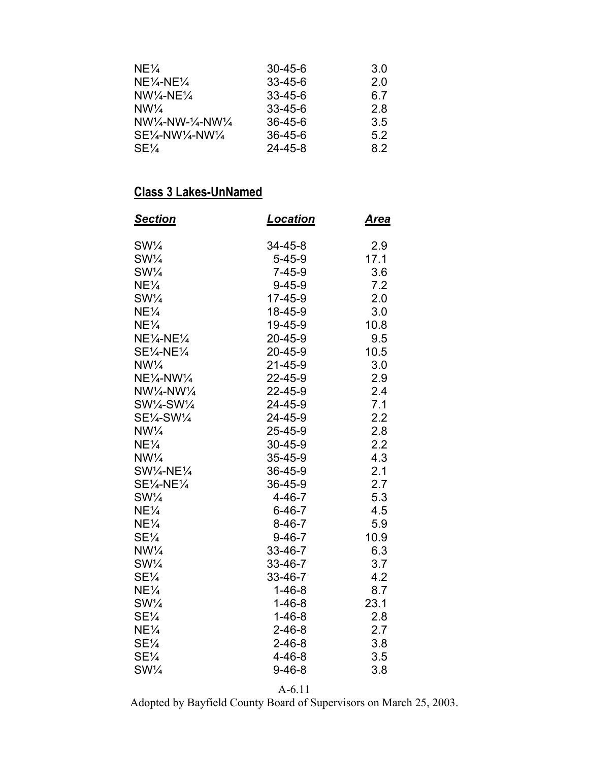| $NE\frac{1}{4}$                                                              | $30 - 45 - 6$ | 3.0 |
|------------------------------------------------------------------------------|---------------|-----|
| $NE\frac{1}{4}NE\frac{1}{4}$                                                 | $33 - 45 - 6$ | 2.0 |
| $NW\frac{1}{4}NE\frac{1}{4}$                                                 | $33 - 45 - 6$ | 6.7 |
| $NW\frac{1}{4}$                                                              | $33 - 45 - 6$ | 28  |
| $NW\frac{1}{4} - NW - \frac{1}{4} - NW\frac{1}{4}$                           | $36 - 45 - 6$ | 3.5 |
| $SE$ <sup><math>\frac{1}{4}</math></sup> -NW $\frac{1}{4}$ -NW $\frac{1}{4}$ | $36 - 45 - 6$ | 52  |
| $SE\frac{1}{4}$                                                              | $24 - 45 - 8$ | 8.2 |

| <u>Section</u>                   | <u>Location</u> | <u>Area</u> |
|----------------------------------|-----------------|-------------|
| $SW\frac{1}{4}$                  | 34-45-8         | 2.9         |
| $SW\frac{1}{4}$                  | $5 - 45 - 9$    | 17.1        |
| $SW\frac{1}{4}$                  | $7 - 45 - 9$    | 3.6         |
| $NE\frac{1}{4}$                  | $9 - 45 - 9$    | 7.2         |
| $SW\frac{1}{4}$                  | $17 - 45 - 9$   | 2.0         |
| $NE\frac{1}{4}$                  | 18-45-9         | 3.0         |
| $NE\frac{1}{4}$                  | 19-45-9         | 10.8        |
| $NE\frac{1}{4}NE\frac{1}{4}$     | 20-45-9         | 9.5         |
| $SE\frac{1}{4}NE\frac{1}{4}$     | 20-45-9         | 10.5        |
| $NW\frac{1}{4}$                  | $21 - 45 - 9$   | 3.0         |
| $NE\frac{1}{4}N$ W $\frac{1}{4}$ | 22-45-9         | 2.9         |
| NW1/4-NW1/4                      | 22-45-9         | 2.4         |
| SW1⁄4-SW1⁄4                      | 24-45-9         | 7.1         |
| SE1⁄4-SW1⁄4                      | 24-45-9         | 2.2         |
| $NW\frac{1}{4}$                  | 25-45-9         | 2.8         |
| NE¼                              | 30-45-9         | 2.2         |
| $NW\frac{1}{4}$                  | 35-45-9         | 4.3         |
| SW1/4-NE1/4                      | 36-45-9         | 2.1         |
| SE1/4-NE1/4                      | 36-45-9         | 2.7         |
| $SW\frac{1}{4}$                  | $4 - 46 - 7$    | 5.3         |
| $NE\frac{1}{4}$                  | $6 - 46 - 7$    | 4.5         |
| $NE\frac{1}{4}$                  | $8 - 46 - 7$    | 5.9         |
| $SE\frac{1}{4}$                  | $9 - 46 - 7$    | 10.9        |
| $NW\frac{1}{4}$                  | 33-46-7         | 6.3         |
| $SW\frac{1}{4}$                  | 33-46-7         | 3.7         |
| $SE\frac{1}{4}$                  | 33-46-7         | 4.2         |
| $NE\frac{1}{4}$                  | $1 - 46 - 8$    | 8.7         |
| $SW\frac{1}{4}$                  | $1 - 46 - 8$    | 23.1        |
| $SE\frac{1}{4}$                  | $1 - 46 - 8$    | 2.8         |
| $NE\frac{1}{4}$                  | $2 - 46 - 8$    | 2.7         |
| $SE\frac{1}{4}$                  | $2 - 46 - 8$    | 3.8         |
| $SE\frac{1}{4}$                  | $4 - 46 - 8$    | 3.5         |
| $SW\frac{1}{4}$                  | $9 - 46 - 8$    | 3.8         |

A-6.11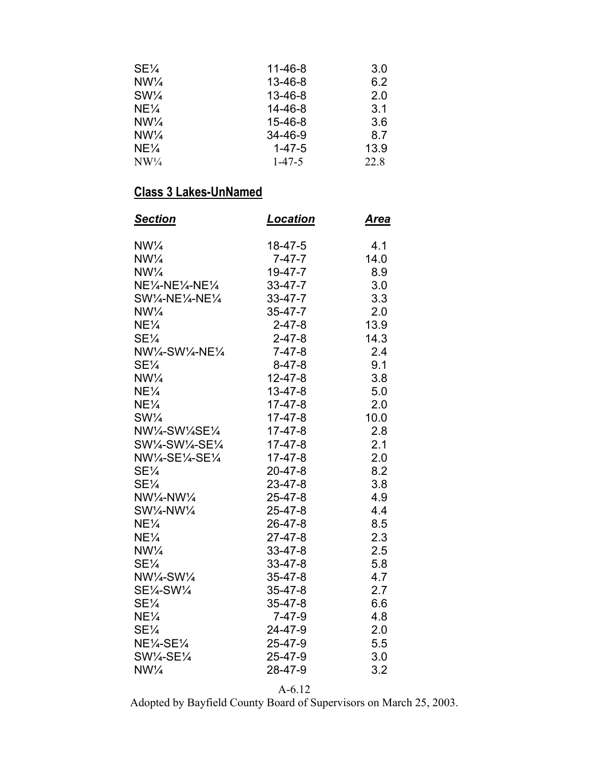| $SE\frac{1}{4}$ | $11 - 46 - 8$ | 3.0  |
|-----------------|---------------|------|
| $NW\frac{1}{4}$ | $13 - 46 - 8$ | 6.2  |
| $SW\frac{1}{4}$ | 13-46-8       | 2.0  |
| $NE\frac{1}{4}$ | 14-46-8       | 3.1  |
| $NW\frac{1}{4}$ | $15 - 46 - 8$ | 3.6  |
| $NW\frac{1}{4}$ | 34-46-9       | 8.7  |
| $NE\frac{1}{4}$ | $1 - 47 - 5$  | 13.9 |
| $NW\frac{1}{4}$ | $1 - 47 - 5$  | 22.8 |

| <u>Section</u>                                  | <u>Location</u> | <u>Area</u> |
|-------------------------------------------------|-----------------|-------------|
| $NW\frac{1}{4}$                                 | $18 - 47 - 5$   | 4.1         |
| $NW\frac{1}{4}$                                 | $7 - 47 - 7$    | 14.0        |
| $NW\frac{1}{4}$                                 | $19 - 47 - 7$   | 8.9         |
| $NE\frac{1}{4} - NE\frac{1}{4} - NE\frac{1}{4}$ | $33 - 47 - 7$   | 3.0         |
| SW1⁄4-NE1⁄4-NE1⁄4                               | $33 - 47 - 7$   | 3.3         |
| $NW\frac{1}{4}$                                 | $35 - 47 - 7$   | 2.0         |
| $NE\frac{1}{4}$                                 | $2 - 47 - 8$    | 13.9        |
| $SE\frac{1}{4}$                                 | $2 - 47 - 8$    | 14.3        |
| NW1/4-SW1/4-NE1/4                               | $7 - 47 - 8$    | 2.4         |
| $SE\frac{1}{4}$                                 | $8 - 47 - 8$    | 9.1         |
| $NW\frac{1}{4}$                                 | $12 - 47 - 8$   | 3.8         |
| $NE\frac{1}{4}$                                 | $13 - 47 - 8$   | 5.0         |
| $NE\frac{1}{4}$                                 | $17 - 47 - 8$   | 2.0         |
| $SW\frac{1}{4}$                                 | $17 - 47 - 8$   | 10.0        |
| NW1/4-SW1/4SE1/4                                | $17-47-8$       | 2.8         |
| SW1⁄4-SW1⁄4-SE1⁄4                               | $17 - 47 - 8$   | 2.1         |
| NW1/4-SE1/4-SE1/4                               | $17 - 47 - 8$   | 2.0         |
| $SE\frac{1}{4}$                                 | $20 - 47 - 8$   | 8.2         |
| $SE\frac{1}{4}$                                 | $23 - 47 - 8$   | 3.8         |
| $NW\frac{1}{4} - NW\frac{1}{4}$                 | $25 - 47 - 8$   | 4.9         |
| SW1/4-NW1/4                                     | $25 - 47 - 8$   | 4.4         |
| $NE\frac{1}{4}$                                 | 26-47-8         | 8.5         |
| $NE\frac{1}{4}$                                 | $27 - 47 - 8$   | 2.3         |
| $NW\frac{1}{4}$                                 | $33 - 47 - 8$   | 2.5         |
| $SE\frac{1}{4}$                                 | $33 - 47 - 8$   | 5.8         |
| NW1/4-SW1/4                                     | $35 - 47 - 8$   | 4.7         |
| SE1/4-SW1/4                                     | $35 - 47 - 8$   | 2.7         |
| $SE\frac{1}{4}$                                 | $35 - 47 - 8$   | 6.6         |
| $NE\frac{1}{4}$                                 | $7 - 47 - 9$    | 4.8         |
| $SE\frac{1}{4}$                                 | 24-47-9         | 2.0         |
| $NE\frac{1}{4}SE\frac{1}{4}$                    | 25-47-9         | 5.5         |
| $SW\frac{1}{4}SE\frac{1}{4}$                    | $25 - 47 - 9$   | 3.0         |
| $NW\frac{1}{4}$                                 | 28-47-9         | 3.2         |

A-6.12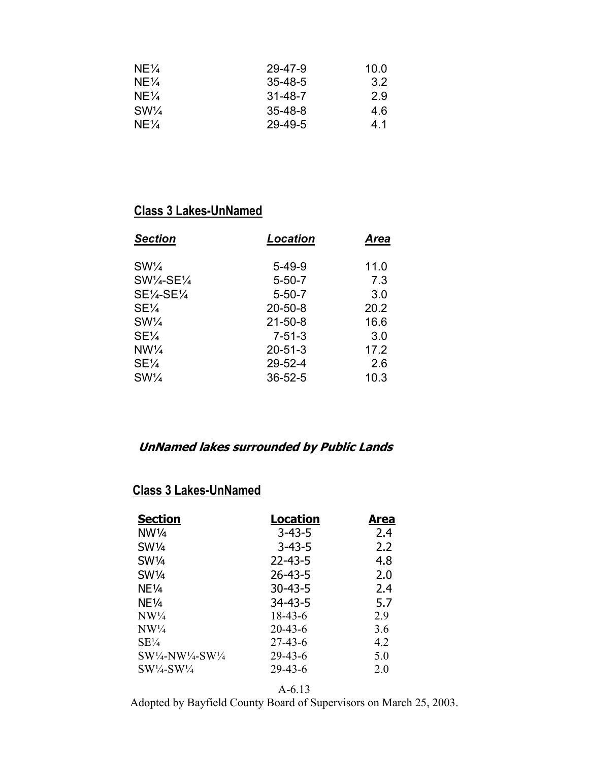| $NE\frac{1}{4}$ | 29-47-9       | 10.0 |
|-----------------|---------------|------|
| $NE\frac{1}{4}$ | $35 - 48 - 5$ | 3.2  |
| $NE\frac{1}{4}$ | $31 - 48 - 7$ | 2.9  |
| $SW\frac{1}{4}$ | $35 - 48 - 8$ | 4.6  |
| $NE\frac{1}{4}$ | $29 - 49 - 5$ | 41   |

| Location      | <b>Area</b> |
|---------------|-------------|
| $5-49-9$      | 11.0        |
| $5 - 50 - 7$  | 7.3         |
| $5 - 50 - 7$  | 3.0         |
| $20 - 50 - 8$ | 20.2        |
| $21 - 50 - 8$ | 16.6        |
| $7 - 51 - 3$  | 3.0         |
| $20 - 51 - 3$ | 17.2        |
| $29 - 52 - 4$ | 2.6         |
| $36 - 52 - 5$ | 10.3        |
|               |             |

# **UnNamed lakes surrounded by Public Lands**

# **Class 3 Lakes-UnNamed**

| Location      | Area |
|---------------|------|
| $3 - 43 - 5$  | 2.4  |
| $3 - 43 - 5$  | 2.2  |
| $22 - 43 - 5$ | 4.8  |
| $26 - 43 - 5$ | 2.0  |
| $30 - 43 - 5$ | 2.4  |
| $34 - 43 - 5$ | 5.7  |
| 18-43-6       | 2.9  |
| $20 - 43 - 6$ | 3.6  |
| 27-43-6       | 42   |
| $29 - 43 - 6$ | 5.0  |
| $29 - 43 - 6$ | 2.0  |
|               |      |

A-6.13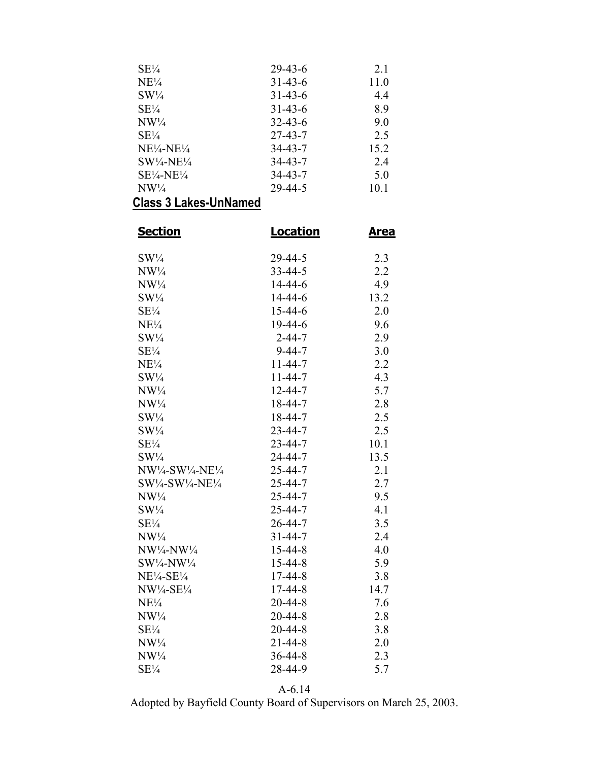| $SE\frac{1}{4}$               | $29 - 43 - 6$ | 2.1  |
|-------------------------------|---------------|------|
| $NE\frac{1}{4}$               | $31 - 43 - 6$ | 11.0 |
| $SW\frac{1}{4}$               | $31 - 43 - 6$ | 4.4  |
| $SE\frac{1}{4}$               | $31 - 43 - 6$ | 8.9  |
| $NW\frac{1}{4}$               | $32 - 43 - 6$ | 9.0  |
| $SE\frac{1}{4}$               | $27 - 43 - 7$ | 2.5  |
| $NE\frac{1}{4}NE\frac{1}{4}$  | 34-43-7       | 15.2 |
| $SW\frac{1}{4}N E\frac{1}{4}$ | 34-43-7       | 24   |
| $SE\frac{1}{4}NE\frac{1}{4}$  | $34 - 43 - 7$ | 5.0  |
| $NW\frac{1}{4}$               | $29 - 44 - 5$ | 10.1 |
|                               |               |      |

| <u>Section</u>                              | <b>Location</b> | <u>Area</u> |
|---------------------------------------------|-----------------|-------------|
| $SW\frac{1}{4}$                             | 29-44-5         | 2.3         |
| $NW\frac{1}{4}$                             | $33 - 44 - 5$   | 2.2         |
| $NW\frac{1}{4}$                             | $14 - 44 - 6$   | 4.9         |
| $SW\frac{1}{4}$                             | $14 - 44 - 6$   | 13.2        |
| $SE\frac{1}{4}$                             | $15 - 44 - 6$   | 2.0         |
| $NE\frac{1}{4}$                             | 19-44-6         | 9.6         |
| $SW\frac{1}{4}$                             | $2 - 44 - 7$    | 2.9         |
| $SE\frac{1}{4}$                             | $9 - 44 - 7$    | 3.0         |
| $NE\frac{1}{4}$                             | $11 - 44 - 7$   | 2.2         |
| $SW\frac{1}{4}$                             | $11 - 44 - 7$   | 4.3         |
| $NW\frac{1}{4}$                             | $12 - 44 - 7$   | 5.7         |
| $NW\frac{1}{4}$                             | $18 - 44 - 7$   | 2.8         |
| $SW\frac{1}{4}$                             | $18 - 44 - 7$   | 2.5         |
| $SW\frac{1}{4}$                             | $23 - 44 - 7$   | 2.5         |
| $SE\frac{1}{4}$                             | $23 - 44 - 7$   | 10.1        |
| $SW\frac{1}{4}$                             | 24-44-7         | 13.5        |
| $NW\frac{1}{4}-SW\frac{1}{4}-NE\frac{1}{4}$ | $25 - 44 - 7$   | 2.1         |
| $SW\frac{1}{4}-SW\frac{1}{4}N E\frac{1}{4}$ | $25 - 44 - 7$   | 2.7         |
| $NW\frac{1}{4}$                             | 25-44-7         | 9.5         |
| $SW\frac{1}{4}$                             | 25-44-7         | 4.1         |
| $SE\frac{1}{4}$                             | $26 - 44 - 7$   | 3.5         |
| $NW\frac{1}{4}$                             | $31 - 44 - 7$   | 2.4         |
| NW1/4-NW1/4                                 | $15 - 44 - 8$   | 4.0         |
| $SW\frac{1}{4} - NW\frac{1}{4}$             | $15 - 44 - 8$   | 5.9         |
| $NE\frac{1}{4}$ -SE $\frac{1}{4}$           | 17-44-8         | 3.8         |
| $NW\frac{1}{4}$ -SE $\frac{1}{4}$           | $17 - 44 - 8$   | 14.7        |
| $NE\frac{1}{4}$                             | $20 - 44 - 8$   | 7.6         |
| $NW\frac{1}{4}$                             | 20-44-8         | 2.8         |
| $SE\frac{1}{4}$                             | $20 - 44 - 8$   | 3.8         |
| $NW\frac{1}{4}$                             | 21-44-8         | 2.0         |
| $NW\frac{1}{4}$                             | $36 - 44 - 8$   | 2.3         |
| $SE\frac{1}{4}$                             | 28-44-9         | 5.7         |

A-6.14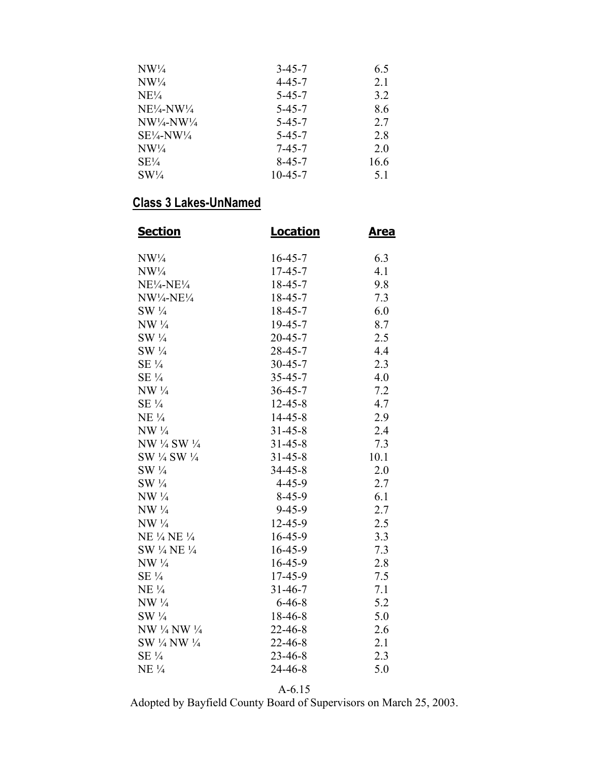| $NW\frac{1}{4}$              | $3 - 45 - 7$ | 6.5  |
|------------------------------|--------------|------|
| $NW\frac{1}{4}$              | $4 - 45 - 7$ | 21   |
| $NE\frac{1}{4}$              | $5 - 45 - 7$ | 3.2  |
| $NE\frac{1}{4}NW\frac{1}{4}$ | $5 - 45 - 7$ | 8.6  |
| $NW\frac{1}{4}NW\frac{1}{4}$ | $5 - 45 - 7$ | 2.7  |
| $SE\frac{1}{4}NW\frac{1}{4}$ | $5 - 45 - 7$ | 2.8  |
| $NW\frac{1}{4}$              | $7 - 45 - 7$ | 20   |
| $SE\frac{1}{4}$              | $8-45-7$     | 16.6 |
| $SW\frac{1}{4}$              | 10-45-7      | 51   |

| <b>Section</b>                  | <b>Location</b> | <u>Area</u> |
|---------------------------------|-----------------|-------------|
| $NW\frac{1}{4}$                 | $16 - 45 - 7$   | 6.3         |
| $NW\frac{1}{4}$                 | $17 - 45 - 7$   | 4.1         |
| $NE\frac{1}{4}NE\frac{1}{4}$    | $18 - 45 - 7$   | 9.8         |
| $NW\frac{1}{4} - NE\frac{1}{4}$ | $18 - 45 - 7$   | 7.3         |
| $SW\frac{1}{4}$                 | $18 - 45 - 7$   | 6.0         |
| $NW \frac{1}{4}$                | $19 - 45 - 7$   | 8.7         |
| $SW\frac{1}{4}$                 | $20 - 45 - 7$   | 2.5         |
| $SW\frac{1}{4}$                 | $28 - 45 - 7$   | 4.4         |
| $SE\frac{1}{4}$                 | $30 - 45 - 7$   | 2.3         |
| $SE\frac{1}{4}$                 | $35 - 45 - 7$   | 4.0         |
| $NW \frac{1}{4}$                | $36 - 45 - 7$   | 7.2         |
| $SE\frac{1}{4}$                 | $12 - 45 - 8$   | 4.7         |
| $NE\frac{1}{4}$                 | $14 - 45 - 8$   | 2.9         |
| $NW \frac{1}{4}$                | $31 - 45 - 8$   | 2.4         |
| NW 1/4 SW 1/4                   | $31 - 45 - 8$   | 7.3         |
| SW 1/4 SW 1/4                   | $31 - 45 - 8$   | 10.1        |
| SW 1/4                          | $34 - 45 - 8$   | 2.0         |
| $SW\frac{1}{4}$                 | $4 - 45 - 9$    | 2.7         |
| $NW\frac{1}{4}$                 | $8-45-9$        | 6.1         |
| $NW\frac{1}{4}$                 | $9 - 45 - 9$    | 2.7         |
| $NW \frac{1}{4}$                | $12 - 45 - 9$   | 2.5         |
| NE 1/4 NE 1/4                   | $16 - 45 - 9$   | 3.3         |
| SW 1/4 NE 1/4                   | $16 - 45 - 9$   | 7.3         |
| $NW \frac{1}{4}$                | $16 - 45 - 9$   | 2.8         |
| $SE\frac{1}{4}$                 | 17-45-9         | 7.5         |
| $NE\frac{1}{4}$                 | $31 - 46 - 7$   | 7.1         |
| $NW \frac{1}{4}$                | $6 - 46 - 8$    | 5.2         |
| $SW\frac{1}{4}$                 | $18-46-8$       | $5.0\,$     |
| NW 1/4 NW 1/4                   | $22 - 46 - 8$   | 2.6         |
| SW 1/4 NW 1/4                   | $22 - 46 - 8$   | 2.1         |
| SE 1/4                          | 23-46-8         | 2.3         |
| $NE\frac{1}{4}$                 | 24-46-8         | 5.0         |

A-6.15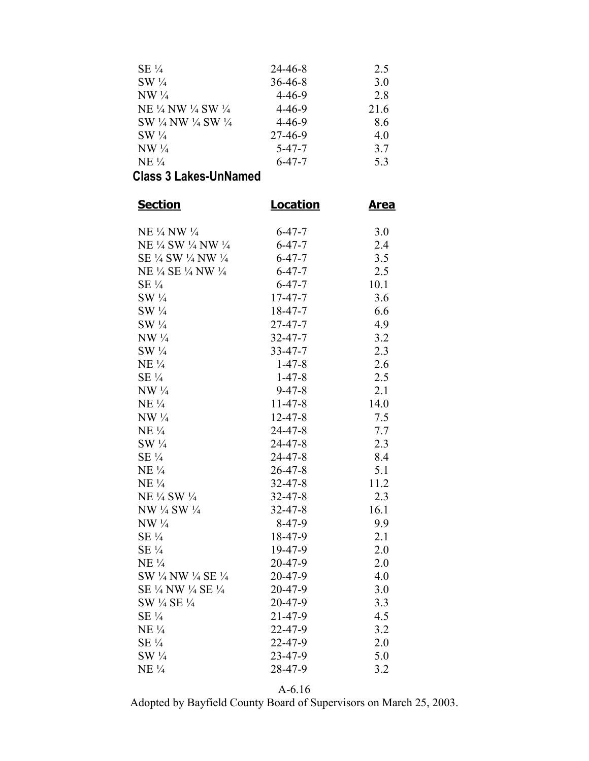| $SE\frac{1}{4}$      | 24-46-8       | 2.5  |
|----------------------|---------------|------|
| $SW\frac{1}{4}$      | $36 - 46 - 8$ | 3.0  |
| $NW\frac{1}{4}$      | $4 - 46 - 9$  | 2.8  |
| NE 1/4 NW 1/4 SW 1/4 | $4 - 46 - 9$  | 21.6 |
| SW 1/4 NW 1/4 SW 1/4 | $4 - 46 - 9$  | 8.6  |
| $SW\frac{1}{4}$      | 27-46-9       | 40   |
| $NW\frac{1}{4}$      | $5 - 47 - 7$  | 3.7  |
| $NE\frac{1}{4}$      | $6 - 47 - 7$  | 5.3  |

| <b>Section</b>       | <b>Location</b> | <u>Area</u> |  |
|----------------------|-----------------|-------------|--|
| NE 1/4 NW 1/4        | $6 - 47 - 7$    | 3.0         |  |
| NE ½ SW ½ NW ½       | $6 - 47 - 7$    | 2.4         |  |
| SE 1/4 SW 1/4 NW 1/4 | $6 - 47 - 7$    | 3.5         |  |
| NE ¼ SE ¼ NW ¼       | $6 - 47 - 7$    | 2.5         |  |
| $SE\frac{1}{4}$      | $6 - 47 - 7$    | 10.1        |  |
| $SW\frac{1}{4}$      | $17 - 47 - 7$   | 3.6         |  |
| $SW\frac{1}{4}$      | $18 - 47 - 7$   | 6.6         |  |
| $SW\frac{1}{4}$      | $27 - 47 - 7$   | 4.9         |  |
| $NW \frac{1}{4}$     | $32 - 47 - 7$   | 3.2         |  |
| $SW\frac{1}{4}$      | $33 - 47 - 7$   | 2.3         |  |
| $NE\frac{1}{4}$      | $1-47-8$        | 2.6         |  |
| $SE\frac{1}{4}$      | $1 - 47 - 8$    | 2.5         |  |
| $NW \frac{1}{4}$     | $9 - 47 - 8$    | 2.1         |  |
| $NE\frac{1}{4}$      | $11-47-8$       | 14.0        |  |
| $NW \frac{1}{4}$     | $12 - 47 - 8$   | 7.5         |  |
| $NE\frac{1}{4}$      | $24 - 47 - 8$   | 7.7         |  |
| $SW\frac{1}{4}$      | $24 - 47 - 8$   | 2.3         |  |
| $SE\frac{1}{4}$      | $24 - 47 - 8$   | 8.4         |  |
| $NE\frac{1}{4}$      | $26 - 47 - 8$   | 5.1         |  |
| $NE\frac{1}{4}$      | $32 - 47 - 8$   | 11.2        |  |
| NE 1/4 SW 1/4        | $32 - 47 - 8$   | 2.3         |  |
| NW 1/4 SW 1/4        | $32 - 47 - 8$   | 16.1        |  |
| $NW\frac{1}{4}$      | 8-47-9          | 9.9         |  |
| $SE\frac{1}{4}$      | 18-47-9         | 2.1         |  |
| $SE\frac{1}{4}$      | 19-47-9         | 2.0         |  |
| $NE\frac{1}{4}$      | 20-47-9         | 2.0         |  |
| SW 1/4 NW 1/4 SE 1/4 | $20 - 47 - 9$   | 4.0         |  |
| SE ¼ NW ¼ SE ¼       | $20 - 47 - 9$   | 3.0         |  |
| SW 1/4 SE 1/4        | $20 - 47 - 9$   | 3.3         |  |
| $SE\frac{1}{4}$      | $21 - 47 - 9$   | 4.5         |  |
| $NE\frac{1}{4}$      | $22 - 47 - 9$   | 3.2         |  |
| $SE\frac{1}{4}$      | $22 - 47 - 9$   | 2.0         |  |
| $SW\frac{1}{4}$      | $23 - 47 - 9$   | 5.0         |  |
| $NE\frac{1}{4}$      | 28-47-9         | 3.2         |  |

A-6.16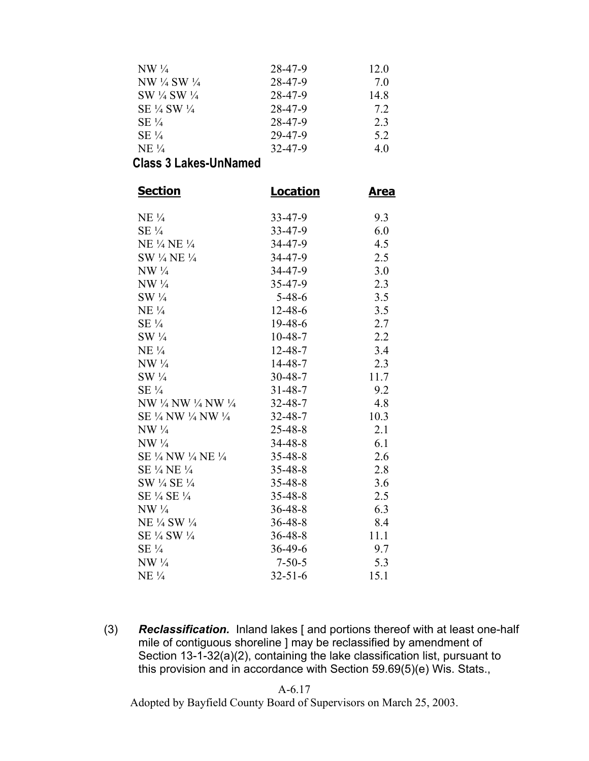| 28-47-9 | 12.0 |
|---------|------|
| 28-47-9 | 7 O  |
| 28-47-9 | 14.8 |
| 28-47-9 | 7.2  |
| 28-47-9 | 23   |
| 29-47-9 | 5.2  |
| 32-47-9 | 40   |
|         |      |

| <b>Section</b>       | <b>Location</b> | <u>Area</u> |
|----------------------|-----------------|-------------|
| $NE\frac{1}{4}$      | $33 - 47 - 9$   | 9.3         |
| $SE\frac{1}{4}$      | $33 - 47 - 9$   | 6.0         |
| NE ¼ NE ¼            | $34 - 47 - 9$   | 4.5         |
| SW 1/4 NE 1/4        | $34 - 47 - 9$   | 2.5         |
| $NW \frac{1}{4}$     | $34 - 47 - 9$   | 3.0         |
| $NW \frac{1}{4}$     | $35 - 47 - 9$   | 2.3         |
| $SW\frac{1}{4}$      | $5 - 48 - 6$    | 3.5         |
| $NE\frac{1}{4}$      | 12-48-6         | 3.5         |
| $SE\frac{1}{4}$      | $19-48-6$       | 2.7         |
| $SW\frac{1}{4}$      | $10-48-7$       | 2.2         |
| $NE\frac{1}{4}$      | $12 - 48 - 7$   | 3.4         |
| $NW\frac{1}{4}$      | $14 - 48 - 7$   | 2.3         |
| $SW\frac{1}{4}$      | $30 - 48 - 7$   | 11.7        |
| $SE\frac{1}{4}$      | $31 - 48 - 7$   | 9.2         |
| NW ½ NW ½ NW ½       | $32 - 48 - 7$   | 4.8         |
| SE 1/4 NW 1/4 NW 1/4 | $32 - 48 - 7$   | 10.3        |
| $NW\frac{1}{4}$      | 25-48-8         | 2.1         |
| $NW \frac{1}{4}$     | $34 - 48 - 8$   | 6.1         |
| SE ¼ NW ¼ NE ¼       | $35 - 48 - 8$   | 2.6         |
| SE 1/4 NE 1/4        | $35 - 48 - 8$   | 2.8         |
| SW 1/4 SE 1/4        | 35-48-8         | 3.6         |
| SE 1/4 SE 1/4        | $35 - 48 - 8$   | 2.5         |
| $NW \frac{1}{4}$     | $36 - 48 - 8$   | 6.3         |
| NE 1/4 SW 1/4        | $36 - 48 - 8$   | 8.4         |
| SE 1/4 SW 1/4        | $36 - 48 - 8$   | 11.1        |
| $SE\frac{1}{4}$      | $36 - 49 - 6$   | 9.7         |
| $NW \frac{1}{4}$     | $7 - 50 - 5$    | 5.3         |
| $NE\frac{1}{4}$      | $32 - 51 - 6$   | 15.1        |

(3) *Reclassification.* Inland lakes [ and portions thereof with at least one-half mile of contiguous shoreline ] may be reclassified by amendment of Section 13-1-32(a)(2), containing the lake classification list, pursuant to this provision and in accordance with Section 59.69(5)(e) Wis. Stats.,

#### A-6.17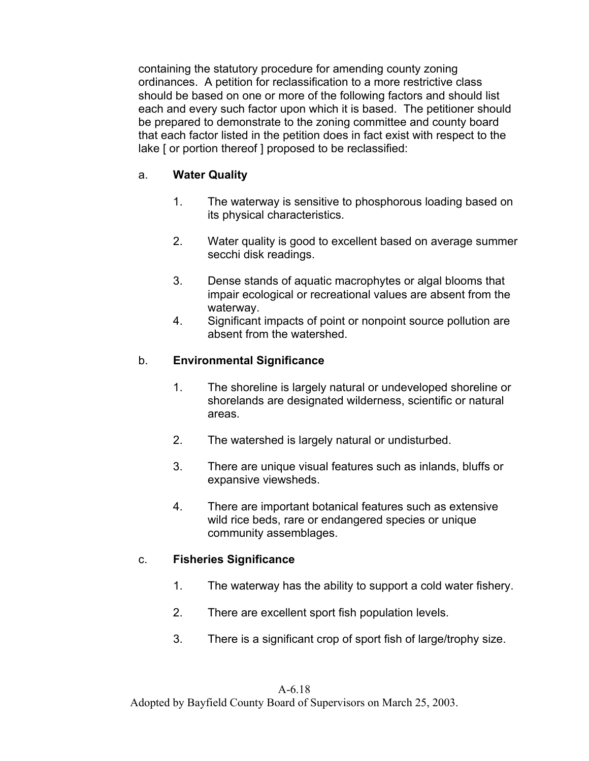containing the statutory procedure for amending county zoning ordinances. A petition for reclassification to a more restrictive class should be based on one or more of the following factors and should list each and every such factor upon which it is based. The petitioner should be prepared to demonstrate to the zoning committee and county board that each factor listed in the petition does in fact exist with respect to the lake [ or portion thereof ] proposed to be reclassified:

### a. **Water Quality**

- 1. The waterway is sensitive to phosphorous loading based on its physical characteristics.
- 2. Water quality is good to excellent based on average summer secchi disk readings.
- 3. Dense stands of aquatic macrophytes or algal blooms that impair ecological or recreational values are absent from the waterway.
- 4. Significant impacts of point or nonpoint source pollution are absent from the watershed.

### b. **Environmental Significance**

- 1. The shoreline is largely natural or undeveloped shoreline or shorelands are designated wilderness, scientific or natural areas.
- 2. The watershed is largely natural or undisturbed.
- 3. There are unique visual features such as inlands, bluffs or expansive viewsheds.
- 4. There are important botanical features such as extensive wild rice beds, rare or endangered species or unique community assemblages.

### c. **Fisheries Significance**

- 1. The waterway has the ability to support a cold water fishery.
- 2. There are excellent sport fish population levels.
- 3. There is a significant crop of sport fish of large/trophy size.

#### A-6.18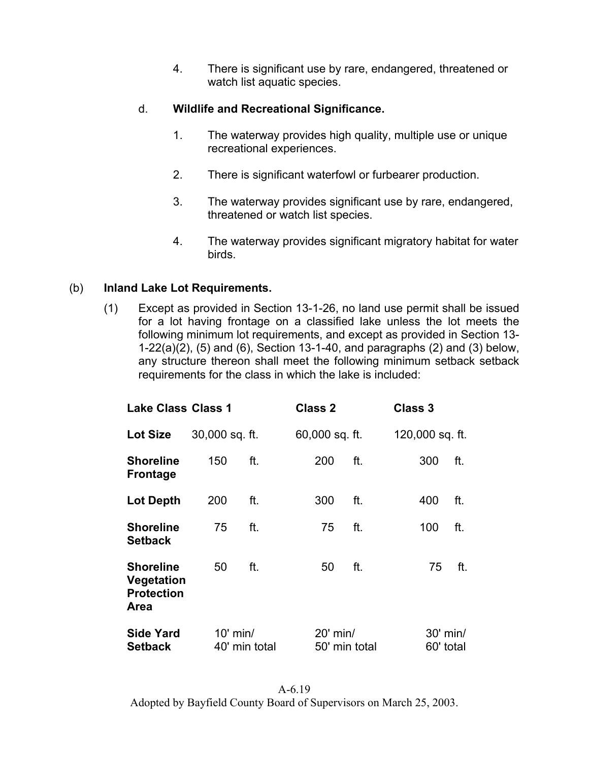4. There is significant use by rare, endangered, threatened or watch list aquatic species.

### d. **Wildlife and Recreational Significance.**

- 1. The waterway provides high quality, multiple use or unique recreational experiences.
- 2. There is significant waterfowl or furbearer production.
- 3. The waterway provides significant use by rare, endangered, threatened or watch list species.
- 4. The waterway provides significant migratory habitat for water birds.

## (b) **Inland Lake Lot Requirements.**

(1) Except as provided in Section 13-1-26, no land use permit shall be issued for a lot having frontage on a classified lake unless the lot meets the following minimum lot requirements, and except as provided in Section 13- 1-22(a)(2), (5) and (6), Section 13-1-40, and paragraphs (2) and (3) below, any structure thereon shall meet the following minimum setback setback requirements for the class in which the lake is included:

| <b>Lake Class Class 1</b>                                          |                             |     | <b>Class 2</b>            |     | Class 3 |                       |     |
|--------------------------------------------------------------------|-----------------------------|-----|---------------------------|-----|---------|-----------------------|-----|
| <b>Lot Size</b>                                                    | 30,000 sq. ft.              |     | 60,000 sq. ft.            |     |         | 120,000 sq. ft.       |     |
| <b>Shoreline</b><br><b>Frontage</b>                                | 150                         | ft. | 200                       | ft. |         | 300                   | ft. |
| <b>Lot Depth</b>                                                   | 200                         | ft. | 300                       | ft. |         | 400                   | ft. |
| <b>Shoreline</b><br><b>Setback</b>                                 | 75                          | ft. | 75                        | ft. |         | 100                   | ft. |
| <b>Shoreline</b><br>Vegetation<br><b>Protection</b><br><b>Area</b> | 50                          | ft. | 50                        | ft. |         | 75                    | ft. |
| <b>Side Yard</b><br><b>Setback</b>                                 | $10'$ min/<br>40' min total |     | 20' min/<br>50' min total |     |         | 30' min/<br>60' total |     |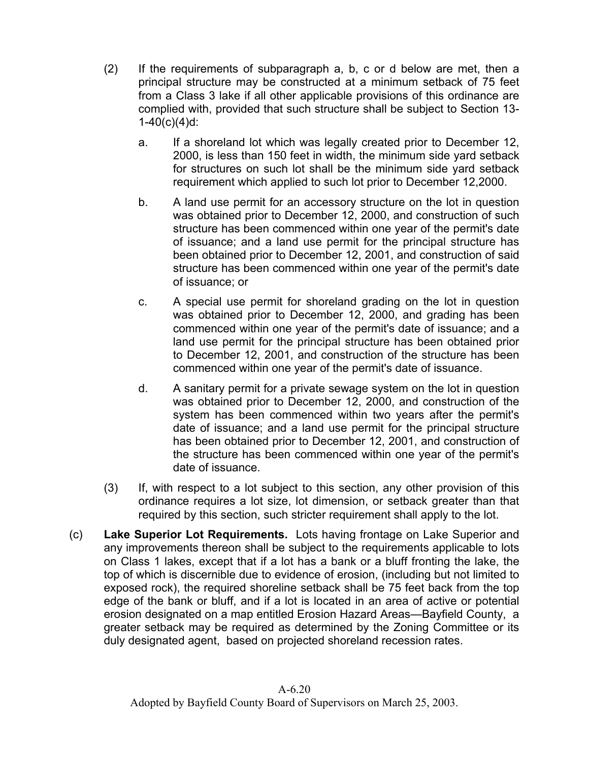- (2) If the requirements of subparagraph a, b, c or d below are met, then a principal structure may be constructed at a minimum setback of 75 feet from a Class 3 lake if all other applicable provisions of this ordinance are complied with, provided that such structure shall be subject to Section 13-  $1-40(c)(4)d$ :
	- a. If a shoreland lot which was legally created prior to December 12, 2000, is less than 150 feet in width, the minimum side yard setback for structures on such lot shall be the minimum side yard setback requirement which applied to such lot prior to December 12,2000.
	- b. A land use permit for an accessory structure on the lot in question was obtained prior to December 12, 2000, and construction of such structure has been commenced within one year of the permit's date of issuance; and a land use permit for the principal structure has been obtained prior to December 12, 2001, and construction of said structure has been commenced within one year of the permit's date of issuance; or
	- c. A special use permit for shoreland grading on the lot in question was obtained prior to December 12, 2000, and grading has been commenced within one year of the permit's date of issuance; and a land use permit for the principal structure has been obtained prior to December 12, 2001, and construction of the structure has been commenced within one year of the permit's date of issuance.
	- d. A sanitary permit for a private sewage system on the lot in question was obtained prior to December 12, 2000, and construction of the system has been commenced within two years after the permit's date of issuance; and a land use permit for the principal structure has been obtained prior to December 12, 2001, and construction of the structure has been commenced within one year of the permit's date of issuance.
- (3) If, with respect to a lot subject to this section, any other provision of this ordinance requires a lot size, lot dimension, or setback greater than that required by this section, such stricter requirement shall apply to the lot.
- (c) **Lake Superior Lot Requirements.** Lots having frontage on Lake Superior and any improvements thereon shall be subject to the requirements applicable to lots on Class 1 lakes, except that if a lot has a bank or a bluff fronting the lake, the top of which is discernible due to evidence of erosion, (including but not limited to exposed rock), the required shoreline setback shall be 75 feet back from the top edge of the bank or bluff, and if a lot is located in an area of active or potential erosion designated on a map entitled Erosion Hazard Areas—Bayfield County, a greater setback may be required as determined by the Zoning Committee or its duly designated agent, based on projected shoreland recession rates.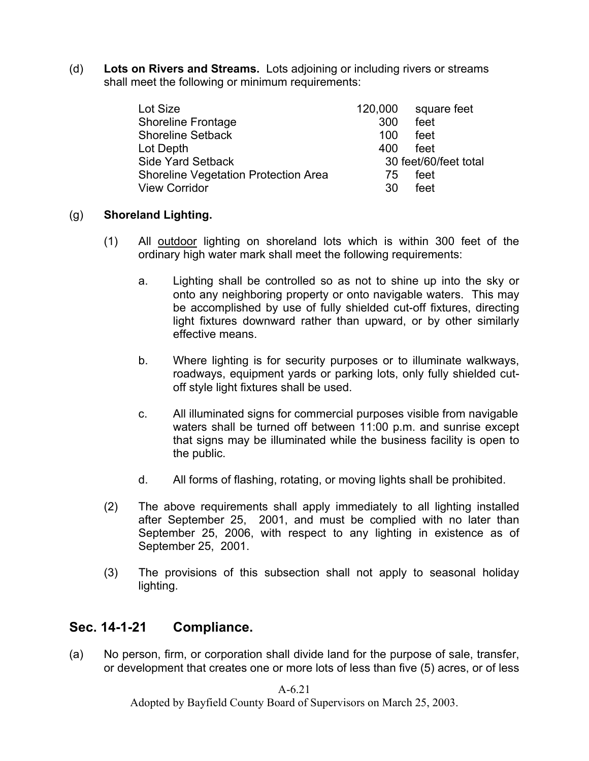(d) **Lots on Rivers and Streams.** Lots adjoining or including rivers or streams shall meet the following or minimum requirements:

| Lot Size                                    | 120,000 | square feet           |
|---------------------------------------------|---------|-----------------------|
| <b>Shoreline Frontage</b>                   | 300     | feet                  |
| <b>Shoreline Setback</b>                    | 100     | feet                  |
| Lot Depth                                   | 400     | feet                  |
| <b>Side Yard Setback</b>                    |         | 30 feet/60/feet total |
| <b>Shoreline Vegetation Protection Area</b> | 75      | feet                  |
| <b>View Corridor</b>                        | 30      | feet                  |

### (g) **Shoreland Lighting.**

- (1) All outdoor lighting on shoreland lots which is within 300 feet of the ordinary high water mark shall meet the following requirements:
	- a. Lighting shall be controlled so as not to shine up into the sky or onto any neighboring property or onto navigable waters. This may be accomplished by use of fully shielded cut-off fixtures, directing light fixtures downward rather than upward, or by other similarly effective means.
	- b. Where lighting is for security purposes or to illuminate walkways, roadways, equipment yards or parking lots, only fully shielded cutoff style light fixtures shall be used.
	- c. All illuminated signs for commercial purposes visible from navigable waters shall be turned off between 11:00 p.m. and sunrise except that signs may be illuminated while the business facility is open to the public.
	- d. All forms of flashing, rotating, or moving lights shall be prohibited.
- (2) The above requirements shall apply immediately to all lighting installed after September 25, 2001, and must be complied with no later than September 25, 2006, with respect to any lighting in existence as of September 25, 2001.
- (3) The provisions of this subsection shall not apply to seasonal holiday lighting.

## **Sec. 14-1-21 Compliance.**

(a) No person, firm, or corporation shall divide land for the purpose of sale, transfer, or development that creates one or more lots of less than five (5) acres, or of less

 $A-6.21$